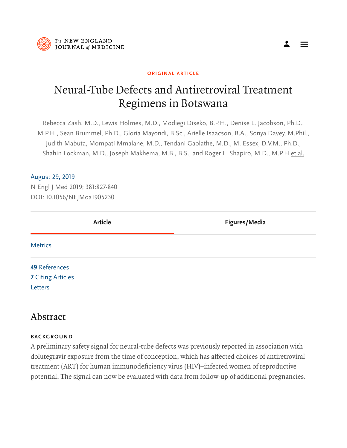

#### ORIGINAL ARTICLE

# Neural-Tube Defects and Antiretroviral Treatment Regimens in Botswana

Rebecca Zash, M.D., Lewis Holmes, M.D., Modiegi Diseko, B.P.H., Denise L. Jacobson, Ph.D., M.P.H., Sean Brummel, Ph.D., Gloria Mayondi, B.Sc., Arielle Isaacson, B.A., Sonya Davey, M.Phil., Judith Mabuta, Mompati Mmalane, M.D., Tendani Gaolathe, M.D., M. Essex, D.V.M., Ph.D., Shahin Lockman, M.D., Joseph Makhema, M.B., B.S., and Roger L. Shapiro, M.D., M.P.H. et al.

#### August 29, 2019

N Engl J Med 2019; 381:827-840 DOI: 10.1056/NEJMoa1905230

| <b>Article</b>           | Figures/Media |
|--------------------------|---------------|
| <b>Metrics</b>           |               |
| <b>49 References</b>     |               |
| <b>7</b> Citing Articles |               |
| Letters                  |               |

### Abstract

#### BACKGROUND

A preliminary safety signal for neural-tube defects was previously reported in association with dolutegravir exposure from the time of conception, which has affected choices of antiretroviral treatment (ART) for human immunodeficiency virus (HIV)–infected women of reproductive potential. The signal can now be evaluated with data from follow-up of additional pregnancies.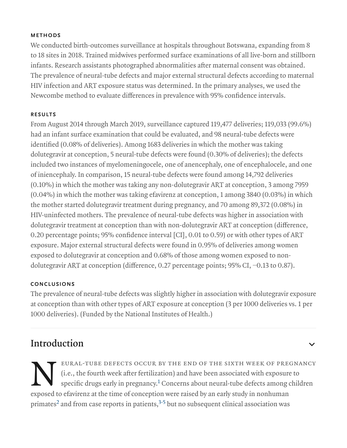#### METHODS

We conducted birth-outcomes surveillance at hospitals throughout Botswana, expanding from 8 to 18 sites in 2018. Trained midwives performed surface examinations of all live-born and stillborn infants. Research assistants photographed abnormalities after maternal consent was obtained. The prevalence of neural-tube defects and major external structural defects according to maternal HIV infection and ART exposure status was determined. In the primary analyses, we used the Newcombe method to evaluate differences in prevalence with 95% confidence intervals.

#### RESULTS

From August 2014 through March 2019, surveillance captured 119,477 deliveries; 119,033 (99.6%) had an infant surface examination that could be evaluated, and 98 neural-tube defects were identified (0.08% of deliveries). Among 1683 deliveries in which the mother was taking dolutegravir at conception, 5 neural-tube defects were found (0.30% of deliveries); the defects included two instances of myelomeningocele, one of anencephaly, one of encephalocele, and one of iniencephaly. In comparison, 15 neural-tube defects were found among 14,792 deliveries (0.10%) in which the mother was taking any non-dolutegravir ART at conception, 3 among 7959 (0.04%) in which the mother was taking efavirenz at conception, 1 among 3840 (0.03%) in which the mother started dolutegravir treatment during pregnancy, and 70 among 89,372 (0.08%) in HIV-uninfected mothers. The prevalence of neural-tube defects was higher in association with dolutegravir treatment at conception than with non-dolutegravir ART at conception (difference, 0.20 percentage points; 95% confidence interval [CI], 0.01 to 0.59) or with other types of ART exposure. Major external structural defects were found in 0.95% of deliveries among women exposed to dolutegravir at conception and 0.68% of those among women exposed to nondolutegravir ART at conception (difference, 0.27 percentage points; 95% CI, −0.13 to 0.87).

#### **CONCLUSIONS**

The prevalence of neural-tube defects was slightly higher in association with dolutegravir exposure at conception than with other types of ART exposure at conception (3 per 1000 deliveries vs. 1 per 1000 deliveries). (Funded by the National Institutes of Health.)

### Introduction

EURAL-TUBE DEFECTS OCCUR BY THE END OF THE SIXTH WEEK OF PREC<br>(i.e., the fourth week after fertilization) and have been associated with exposure<br>specific drugs early in pregnancy.<sup>1</sup> Concerns about neural-tube defects amon eural-tube defects occur by the end of the sixth week of pregnancy (i.e., the fourth week after fertilization) and have been associated with exposure to specific drugs early in pregnancy. $^1$  Concerns about neural-tube defects among children primates<sup>2</sup> and from case reports in patients, $\mathrm{^{3-5}}$  but no subsequent clinical association was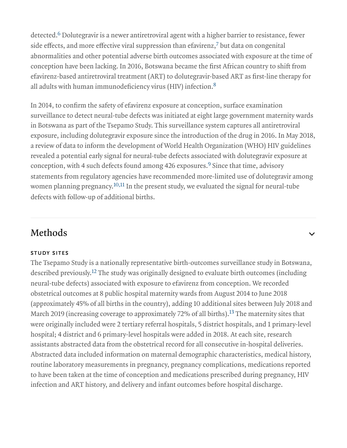detected.<sup>6</sup> Dolutegravir is a newer antiretroviral agent with a higher barrier to resistance, fewer side effects, and more effective viral suppression than efavirenz, $\bar{\ }$  but data on congenital abnormalities and other potential adverse birth outcomes associated with exposure at the time of conception have been lacking. In 2016, Botswana became the first African country to shift from efavirenz-based antiretroviral treatment (ART) to dolutegravir-based ART as first-line therapy for all adults with human immunodeficiency virus (HIV) infection. 8

In 2014, to confirm the safety of efavirenz exposure at conception, surface examination surveillance to detect neural-tube defects was initiated at eight large government maternity wards in Botswana as part of the Tsepamo Study. This surveillance system captures all antiretroviral exposure, including dolutegravir exposure since the introduction of the drug in 2016. In May 2018, a review of data to inform the development of World Health Organization (WHO) HIV guidelines revealed a potential early signal for neural-tube defects associated with dolutegravir exposure at conception, with 4 such defects found among 426 exposures.<sup>9</sup> Since that time, advisory statements from regulatory agencies have recommended more-limited use of dolutegravir among women planning pregnancy. $^{10,11}$  In the present study, we evaluated the signal for neural-tube defects with follow-up of additional births.

 $\checkmark$ 

## Methods

#### STUDY SITES

The Tsepamo Study is a nationally representative birth-outcomes surveillance study in Botswana, described previously.<sup>12</sup> The study was originally designed to evaluate birth outcomes (including neural-tube defects) associated with exposure to efavirenz from conception. We recorded obstetrical outcomes at 8 public hospital maternity wards from August 2014 to June 2018 (approximately 45% of all births in the country), adding 10 additional sites between July 2018 and March 2019 (increasing coverage to approximately 72% of all births).<sup>13</sup> The maternity sites that were originally included were 2 tertiary referral hospitals, 5 district hospitals, and 1 primary-level hospital; 4 district and 6 primary-level hospitals were added in 2018. At each site, research assistants abstracted data from the obstetrical record for all consecutive in-hospital deliveries. Abstracted data included information on maternal demographic characteristics, medical history, routine laboratory measurements in pregnancy, pregnancy complications, medications reported to have been taken at the time of conception and medications prescribed during pregnancy, HIV infection and ART history, and delivery and infant outcomes before hospital discharge.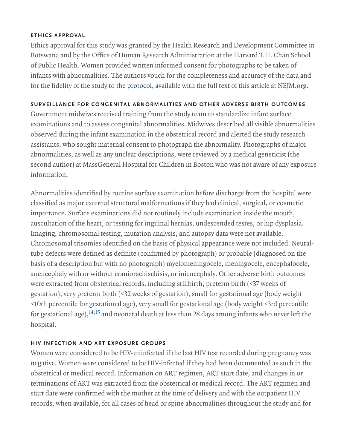#### ETHICS APPROVAL

Ethics approval for this study was granted by the Health Research and Development Committee in Botswana and by the Office of Human Research Administration at the Harvard T.H. Chan School of Public Health. Women provided written informed consent for photographs to be taken of infants with abnormalities. The authors vouch for the completeness and accuracy of the data and for the fidelity of the study to the protocol, available with the full text of this article at NEJM.org.

#### SURVEILLANCE FOR CONGENITAL ABNORMALITIES AND OTHER ADVERSE BIRTH OUTCOMES

Government midwives received training from the study team to standardize infant surface examinations and to assess congenital abnormalities. Midwives described all visible abnormalities observed during the infant examination in the obstetrical record and alerted the study research assistants, who sought maternal consent to photograph the abnormality. Photographs of major abnormalities, as well as any unclear descriptions, were reviewed by a medical geneticist (the second author) at MassGeneral Hospital for Children in Boston who was not aware of any exposure information.

Abnormalities identified by routine surface examination before discharge from the hospital were classified as major external structural malformations if they had clinical, surgical, or cosmetic importance. Surface examinations did not routinely include examination inside the mouth, auscultation of the heart, or testing for inguinal hernias, undescended testes, or hip dysplasia. Imaging, chromosomal testing, mutation analysis, and autopsy data were not available. Chromosomal trisomies identified on the basis of physical appearance were not included. Neuraltube defects were defined as definite (confirmed by photograph) or probable (diagnosed on the basis of a description but with no photograph) myelomeningocele, meningocele, encephalocele, anencephaly with or without craniorachischisis, or iniencephaly. Other adverse birth outcomes were extracted from obstetrical records, including stillbirth, preterm birth (<37 weeks of gestation), very preterm birth (<32 weeks of gestation), small for gestational age (body weight <10th percentile for gestational age), very small for gestational age (body weight <3rd percentile for gestational age), $^{14,15}$  and neonatal death at less than 28 days among infants who never left the hospital.

#### HIV INFECTION AND ART EXPOSURE GROUPS

Women were considered to be HIV-uninfected if the last HIV test recorded during pregnancy was negative. Women were considered to be HIV-infected if they had been documented as such in the obstetrical or medical record. Information on ART regimen, ART start date, and changes in or terminations of ART was extracted from the obstetrical or medical record. The ART regimen and start date were confirmed with the mother at the time of delivery and with the outpatient HIV records, when available, for all cases of head or spine abnormalities throughout the study and for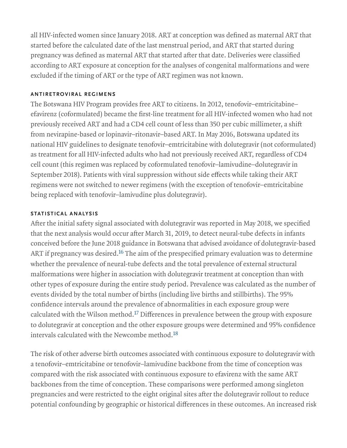all HIV-infected women since January 2018. ART at conception was defined as maternal ART that started before the calculated date of the last menstrual period, and ART that started during pregnancy was defined as maternal ART that started after that date. Deliveries were classified according to ART exposure at conception for the analyses of congenital malformations and were excluded if the timing of ART or the type of ART regimen was not known.

#### ANTIRETROVIRAL REGIMENS

The Botswana HIV Program provides free ART to citizens. In 2012, tenofovir–emtricitabine– efavirenz (coformulated) became the first-line treatment for all HIV-infected women who had not previously received ART and had a CD4 cell count of less than 350 per cubic millimeter, a shift from nevirapine-based or lopinavir–ritonavir–based ART. In May 2016, Botswana updated its national HIV guidelines to designate tenofovir–emtricitabine with dolutegravir (not coformulated) as treatment for all HIV-infected adults who had not previously received ART, regardless of CD4 cell count (this regimen was replaced by coformulated tenofovir–lamivudine–dolutegravir in September 2018). Patients with viral suppression without side effects while taking their ART regimens were not switched to newer regimens (with the exception of tenofovir–emtricitabine being replaced with tenofovir–lamivudine plus dolutegravir).

#### STATISTICAL ANALYSIS

After the initial safety signal associated with dolutegravir was reported in May 2018, we specified that the next analysis would occur after March 31, 2019, to detect neural-tube defects in infants conceived before the June 2018 guidance in Botswana that advised avoidance of dolutegravir-based ART if pregnancy was desired. $^{16}$  The aim of the prespecified primary evaluation was to determine whether the prevalence of neural-tube defects and the total prevalence of external structural malformations were higher in association with dolutegravir treatment at conception than with other types of exposure during the entire study period. Prevalence was calculated as the number of events divided by the total number of births (including live births and stillbirths). The 95% confidence intervals around the prevalence of abnormalities in each exposure group were calculated with the Wilson method. $^{17}$  Differences in prevalence between the group with exposure to dolutegravir at conception and the other exposure groups were determined and 95% confidence intervals calculated with the Newcombe method. $^{18}$ 

The risk of other adverse birth outcomes associated with continuous exposure to dolutegravir with a tenofovir–emtricitabine or tenofovir–lamivudine backbone from the time of conception was compared with the risk associated with continuous exposure to efavirenz with the same ART backbones from the time of conception. These comparisons were performed among singleton pregnancies and were restricted to the eight original sites after the dolutegravir rollout to reduce potential confounding by geographic or historical differences in these outcomes. An increased risk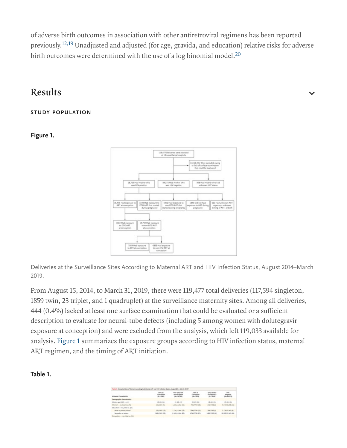of adverse birth outcomes in association with other antiretroviral regimens has been reported previously.<sup>12,19</sup> Unadjusted and adjusted (for age, gravida, and education) relative risks for adverse birth outcomes were determined with the use of a log binomial model. $^{\mathrm{20}}$ 

### Results

#### STUDY POPULATION

#### Figure 1.



Deliveries at the Surveillance Sites According to Maternal ART and HIV Infection Status, August 2014–March 2019.

From August 15, 2014, to March 31, 2019, there were 119,477 total deliveries (117,594 singleton, 1859 twin, 23 triplet, and 1 quadruplet) at the surveillance maternity sites. Among all deliveries, 444 (0.4%) lacked at least one surface examination that could be evaluated or a sufficient description to evaluate for neural-tube defects (including 5 among women with dolutegravir exposure at conception) and were excluded from the analysis, which left 119,033 available for analysis. Figure 1 summarizes the exposure groups according to HIV infection status, maternal ART regimen, and the timing of ART initiation.

#### Table 1.

| Watereal Characteristic         | <b>OTG at</b><br><b>International</b><br><b>PH-1405</b> | Nov. 010, APT<br>at Conception<br>(N=1A)163 | <b>DFV at</b><br>Canception<br>$(9) = 7414$ | <b>GRC Sturbed</b><br>in Programs's<br>$p_{\rm X}$ . So an | inity).<br>Negative<br>Novination |
|---------------------------------|---------------------------------------------------------|---------------------------------------------|---------------------------------------------|------------------------------------------------------------|-----------------------------------|
| Demographic characteristics     |                                                         |                                             |                                             |                                                            |                                   |
| Wedan apr (IQR) -- or I         | 29 (25-54)                                              | 19 (28-37).                                 | 10.07-341                                   | 28-23-330                                                  | $11 - 21 - 30$                    |
| Warried - no, hotal no. (N)     | 175/1431 (75)                                           | LAN/LAJA3 (S.D.                             | FKA/PPM-Jolb                                | 253/8794 (6)                                               | 4.711/86.808 (S In                |
| Education - no Antal no. (N)    |                                                         |                                             |                                             |                                                            |                                   |
| None or primary school          | 160/1447 (38)                                           | <b>LEM/LONGER</b>                           | 1048/7788-2.7%                              | 306/5795.001                                               | 1.1N/87.403.00                    |
| Secondary or territory.         | 1463/1447 (90)                                          | LL MATALEM (BS)                             | 4740/7788-075                               | 1489-1791 (62)                                             | 49-14039-1-020                    |
| Occupation -- Ab, Joka'no, (NJ) |                                                         |                                             |                                             |                                                            |                                   |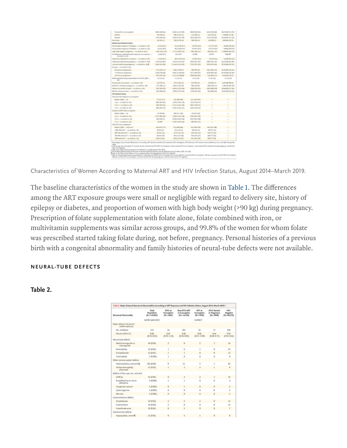|                                                                               | 100414201645        | 8.847/14.147 (98)     | 4633.7620.073        | 1143/174-601        | 49.379.05.791.(57)        |
|-------------------------------------------------------------------------------|---------------------|-----------------------|----------------------|---------------------|---------------------------|
| <b>Distant</b>                                                                | Ph/1620-(2)         | 206/18.167 (S)        | 111/7620-03          | 153, 5726 (65)      | F.220/BR/781 (R)          |
| Salariad                                                                      | 145/1639 (54)       | 1.184/(A)(F/28)       | 1916/9691-075        | 1111/1734 (54)      | 19.296/85.731 (54)        |
| <b>Norwicken</b>                                                              | 24/1433 (73)        | 290/14.790 (2)        | 180/7604-03          | 26/1424 (5)         | 1.839/89.128 (R)          |
| Wedned and obstatemed history                                                 |                     |                       |                      |                     |                           |
| Preconception disgnessls of epilepsy - Att Puttel Ao. (N)                     | 3/1410 1812         | 15/54.348 (0.2)       | <b>IN/NFF-RUS</b>    | SLSFFLIG.RL         | 181/88,760:0125           |
| President equiliant diagnosis of dialecters on real Social res. (NO           | 6/1410 (6) 8)       | 38/14.348 (D.T)       | ILOUT ALB            | <b>TASTE ALE</b>    | 110/86.700 (0.3)          |
| 1930 - John Hollywood - stranged in Market Mark Agent                         | <b>DATED ARE</b>    | LTINAINEGE            | <b>MATABALIS</b>     | 106/1491 (54)       | 11.449/84304 (54)         |
| Trimathoprints suffernathoseous exposure at conveytion of<br>ALL/MARINAL (TA) | 1/1429 (ft 2)       | A/LK 876              | 4/7485               | 6/1791              | 0.84.867                  |
| Fulate prescribed before conception -- no. Jurial no. (N)                     | 1/0414 80.25        | 28/14/314 (6.2)       | TA/NEL 6121          | AS781 (SLD)         | TX1/86, NEI (SL2)         |
| Policie preventived during pregmancy - Au Justaf Ac. (NO)                     | 1135/1414 4691      | T.434/1A.119 (52)     | ADELICATE (ED)       | 2087/0781-055       | 42.417.06.341 (4th)       |
| Political car liability or conveying group 3 beat court to                    | (536/1618.640)      | 13.144/14.119.002     | FL25/7651.01%        | 1034/5781 (6x6)     | TELFALUES, SAT (912)      |
| Granida -- no. Jukal no. (763)                                                |                     |                       |                      |                     |                           |
| No precious pregnancies                                                       | 277/5879 (275)      | L106/14, NK (7)       | 144/954.00           | 1041/1414 (27)      | 14.141/80.124 (KS)        |
| 1-A Province prognancies                                                      | 1104/1678 (60)      | 6.491/14.748.000      | EELECHEK (EP)        | 1676/1814 (62)      | 44.110.00.124.00b         |
| off Previous pregnancies                                                      | 397/0678 (DR)       | <b>ALTI/IA.NADR</b>   | 2010/7654-085        | 425/804 (21)        | 4.433.88.134.0%           |
| Median geosational age at presentation for ANC (109)<br>$-41$                 | $14 (53 - 32)$      | 17:04:49:             | LP dia Joy           | $17< b-12$          | $1768 - 18$               |
| No prenatal care received -- inc./hital ou. (%)                               | <b>KUSKPLOS</b>     | HALAMF@               | HAWAI-JN             | alytax? (i)         | 147188.760-05             |
| Alcohol or unolting in program) - - no Josial no. (N)                         | 171/1808 (LD)       | LOAD/CE/343 (8)       | 186/7229-01          | 406/0549-12.5v      | TAKARLAN COL              |
| Oxform at a tertary hospital -- no Avital no. (N)                             | MAGARE (AT)         | 6454/14,792 (845)     | 1180/7019-002        | 1901/1640-001       | <b>16:544/80.171 (45)</b> |
| Right by congress section or no. AutoCrac (N)                                 | 161/1680-031        | LEMALE TWOEL          | LPM/7653-D29         | <b>M3/1818</b> (25) | 14:827.89.201-(22)        |
| HW infaction Notary                                                           |                     |                       |                      |                     |                           |
| Tuna fixes 1974 diagnosis to conception                                       |                     |                       |                      |                     |                           |
| Mellan (IQR) - wh                                                             | BT(KP-315)          | 109-080-496           | 221 (130 M/s)        |                     |                           |
| $-1$ or $-$ no. how no. (N)                                                   | 850/ja07 (5.0)      | <b>LMM13261 (38)</b>  | 1212/144-075         |                     |                           |
| 2-5 ar 11 ma Antal no. (%)                                                    | 149/1607 (E2)       | LIX/LLML(RE           | <b>MALITAK-SIX</b>   |                     |                           |
| off at an she, hotel was (762)                                                | 406/1407 (21)       | 4.787/13.361 (81)     | 2281/7568-005        |                     |                           |
| Duration of ART before conception                                             |                     |                       |                      |                     |                           |
| Mindlan (IQR) - wh                                                            | 41-00-48.           | 140-111-183           | 156 (65-242)         | $\sim$              | -                         |
| (2 pl - da Ankal Ad-176)                                                      | 1477/1481 (Nit)     | L:508/14.254 (18)     | EDM/NAT/201          |                     |                           |
| 2-few in machined out 1961.                                                   | 106/1402 (7)        | 4.478/14.234 (40)     | <b>MAIL/NAT/AB</b>   | $\sim$              | $\sim$                    |
| off pr on the Boltz one. (76)                                                 | 0/1401              | 1.187/14.214 (74)     | <b>RIGITART (12)</b> | $\sim$              |                           |
| Glid cell count in programs:                                                  |                     |                       |                      |                     |                           |
| Median (IQR) - cells/mm2                                                      | M4 (400-7) N        | 112 (408-480)         | S25 (986-47%)        | 426 (291-388)       |                           |
| -1200 calls; man - sus Antal no. (No)                                         | 28/472.145          | 91/8,134 (3)          | 40/1672-00           | <b>MATTOR</b>       |                           |
| 200, Mill adhiever <sup>3</sup> in the Botaline, (92)                         | <b>KIVATE (S.R)</b> | <b>IRAN 184 (5.2)</b> | <b>EPASATY GR</b>    | <b>ISLITT-GSI</b>   |                           |
| 235-499 (adh.html) - no.html no. (%)                                          | 96/473 (30)         | <b>ETA/S.I.M (2R)</b> | KNOWTHON             | 354/7TT (26)        |                           |
| within a subscription of con-man change and child                             | 245/473 (62)        | LRM/8,134 (57)        | <b>RELIGIEVAG</b>    | <b>JELITT (MG)</b>  |                           |

Characteristics of Women According to Maternal ART and HIV Infection Status, August 2014–March 2019.

The baseline characteristics of the women in the study are shown in Table 1. The differences among the ART exposure groups were small or negligible with regard to delivery site, history of epilepsy or diabetes, and proportion of women with high body weight (>90 kg) during pregnancy. Prescription of folate supplementation with folate alone, folate combined with iron, or multivitamin supplements was similar across groups, and 99.8% of the women for whom folate was prescribed started taking folate during, not before, pregnancy. Personal histories of a previous birth with a congenital abnormality and family histories of neural-tube defects were not available.

#### NEURAL-TUBE DEFECTS

#### Table 2.

|                                             | Total<br>Population | DTG at<br>Conception    | Non-DTG ART<br>at Conception | EFV at<br>Conception    | DTG Started<br>in Prognancy | HIV.<br>Magative        |
|---------------------------------------------|---------------------|-------------------------|------------------------------|-------------------------|-----------------------------|-------------------------|
| Structural Abnormality                      | (N=119,003)         | $(N - 1683)$            | (N=14,792)                   | $(14 - 7958)$           | $04 - 3840$                 | (N=19,372)              |
|                                             | number (percent) ?  |                         |                              | <b>Aumbert</b>          |                             |                         |
| Major external structural<br>malformations) |                     |                         |                              |                         |                             |                         |
| No. of defects                              | 719                 | 36                      | 101                          | 55                      | 12                          | 528                     |
| Percent (95% CO)                            | 0.65<br>(0.16-0.45) | 0.95<br>$(0.59 - 1.54)$ | 0.68<br>49.56-0.835          | 0.69<br>$(0.15 - 0.90)$ | 0.44<br>(0.28-0.72)         | 0.98<br>$(0.54 - 0.64)$ |
| Noural-tube defects                         |                     |                         |                              |                         |                             |                         |
| Musicomeningocele or<br>meningocele         | 49 (9.04)           |                         |                              |                         |                             | M                       |
| Anencephaly                                 | 33 (9.03)           |                         |                              |                         |                             | 24                      |
| Encephalocele                               | 11 (9.01)           |                         |                              |                         |                             | 12                      |
| Inlenophaly                                 | 1 (9.001)           |                         | ō                            |                         |                             |                         |
| Other nervous system defects                |                     |                         |                              |                         |                             |                         |
| Hydrocephalus, presumedij,                  | 102 (0.0%)          |                         | 11                           |                         |                             | £1                      |
| Holoprosenczphaly,<br>deresumed             | 13 (9.01)           |                         |                              |                         |                             |                         |
| Defects of face, eye, ear, and neck         |                     |                         |                              |                         |                             |                         |
| Cleft lip-                                  | 44 (9.04)           |                         |                              |                         |                             | 14                      |
| Anophthalmia or micro-<br>phthalmia         | 5 (0.004)           |                         |                              |                         | ó                           |                         |
| Congenital cataract                         | 3 (0.003)           |                         |                              |                         | ō                           |                         |
| Cystic hypnesa                              | 3 (9.001)           |                         |                              |                         |                             |                         |
| Microtia                                    | $5 - (0.004)$       |                         |                              |                         |                             |                         |
| Castrointestinal defects                    |                     |                         |                              |                         |                             |                         |
| Omphaloonle                                 | 19 (9.02)           |                         |                              |                         |                             | 14                      |
| Gastroschisis                               | 19 (9.92)           |                         |                              |                         |                             | 15                      |
| Imperforate anus                            | 10 (0.01)           |                         |                              |                         |                             |                         |
| Genitourinary defects                       |                     |                         |                              |                         |                             |                         |
| Honocendias, capacelli                      | 13.85.885           |                         |                              |                         |                             |                         |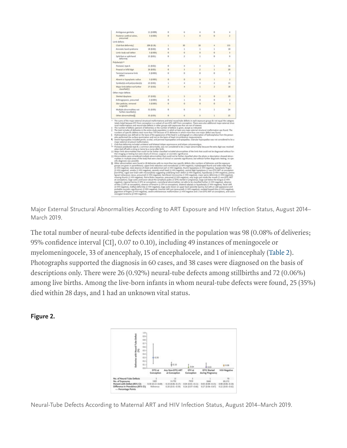| Ambiguous genitalia                                                                                                                                                                                                                                                                                                                                                                                                                                                                                                                                                                                                                                                                                                                                                                                                                                                                                                                                                                                                                                                                                                                                                                                                                                                                                                                                                                                                                                                                                                                                                                                                                                                                                                                                                                                                                                                                                                               | 11 (0.009) |   |   |    |              |                |
|-----------------------------------------------------------------------------------------------------------------------------------------------------------------------------------------------------------------------------------------------------------------------------------------------------------------------------------------------------------------------------------------------------------------------------------------------------------------------------------------------------------------------------------------------------------------------------------------------------------------------------------------------------------------------------------------------------------------------------------------------------------------------------------------------------------------------------------------------------------------------------------------------------------------------------------------------------------------------------------------------------------------------------------------------------------------------------------------------------------------------------------------------------------------------------------------------------------------------------------------------------------------------------------------------------------------------------------------------------------------------------------------------------------------------------------------------------------------------------------------------------------------------------------------------------------------------------------------------------------------------------------------------------------------------------------------------------------------------------------------------------------------------------------------------------------------------------------------------------------------------------------------------------------------------------------|------------|---|---|----|--------------|----------------|
| Posterior untitral valves.                                                                                                                                                                                                                                                                                                                                                                                                                                                                                                                                                                                                                                                                                                                                                                                                                                                                                                                                                                                                                                                                                                                                                                                                                                                                                                                                                                                                                                                                                                                                                                                                                                                                                                                                                                                                                                                                                                        | 3 (9.003)  |   |   |    |              |                |
| presumed                                                                                                                                                                                                                                                                                                                                                                                                                                                                                                                                                                                                                                                                                                                                                                                                                                                                                                                                                                                                                                                                                                                                                                                                                                                                                                                                                                                                                                                                                                                                                                                                                                                                                                                                                                                                                                                                                                                          |            |   |   |    |              |                |
| Limb defects                                                                                                                                                                                                                                                                                                                                                                                                                                                                                                                                                                                                                                                                                                                                                                                                                                                                                                                                                                                                                                                                                                                                                                                                                                                                                                                                                                                                                                                                                                                                                                                                                                                                                                                                                                                                                                                                                                                      |            |   |   |    |              |                |
| Club-foot deformity)                                                                                                                                                                                                                                                                                                                                                                                                                                                                                                                                                                                                                                                                                                                                                                                                                                                                                                                                                                                                                                                                                                                                                                                                                                                                                                                                                                                                                                                                                                                                                                                                                                                                                                                                                                                                                                                                                                              | 209 (0.18) |   |   | 1K |              | I/S            |
| Amnistic band syndrome                                                                                                                                                                                                                                                                                                                                                                                                                                                                                                                                                                                                                                                                                                                                                                                                                                                                                                                                                                                                                                                                                                                                                                                                                                                                                                                                                                                                                                                                                                                                                                                                                                                                                                                                                                                                                                                                                                            | 18 (0.02)  |   |   |    |              | 18             |
| Limb-body wall defect                                                                                                                                                                                                                                                                                                                                                                                                                                                                                                                                                                                                                                                                                                                                                                                                                                                                                                                                                                                                                                                                                                                                                                                                                                                                                                                                                                                                                                                                                                                                                                                                                                                                                                                                                                                                                                                                                                             | 3 (0.001)  | ò | a |    | ö            | $\overline{3}$ |
| Split-foot or split-hand<br>deformity                                                                                                                                                                                                                                                                                                                                                                                                                                                                                                                                                                                                                                                                                                                                                                                                                                                                                                                                                                                                                                                                                                                                                                                                                                                                                                                                                                                                                                                                                                                                                                                                                                                                                                                                                                                                                                                                                             | 13 (9.01)  |   | 2 |    |              | ٩              |
| Polydactyly <sup>na</sup>                                                                                                                                                                                                                                                                                                                                                                                                                                                                                                                                                                                                                                                                                                                                                                                                                                                                                                                                                                                                                                                                                                                                                                                                                                                                                                                                                                                                                                                                                                                                                                                                                                                                                                                                                                                                                                                                                                         |            |   |   |    |              |                |
| Postavial, type A                                                                                                                                                                                                                                                                                                                                                                                                                                                                                                                                                                                                                                                                                                                                                                                                                                                                                                                                                                                                                                                                                                                                                                                                                                                                                                                                                                                                                                                                                                                                                                                                                                                                                                                                                                                                                                                                                                                 | 23 (0.02)  | ۵ |   |    |              | 16             |
| Preasial or bifd digit                                                                                                                                                                                                                                                                                                                                                                                                                                                                                                                                                                                                                                                                                                                                                                                                                                                                                                                                                                                                                                                                                                                                                                                                                                                                                                                                                                                                                                                                                                                                                                                                                                                                                                                                                                                                                                                                                                            | 26 (0.02)  | ò | š |    |              | 35             |
| Terminal transverse limb<br>defect                                                                                                                                                                                                                                                                                                                                                                                                                                                                                                                                                                                                                                                                                                                                                                                                                                                                                                                                                                                                                                                                                                                                                                                                                                                                                                                                                                                                                                                                                                                                                                                                                                                                                                                                                                                                                                                                                                | 3 (0.003)  | ø |   | ò  |              | y              |
| Absent or hypoplastic radius                                                                                                                                                                                                                                                                                                                                                                                                                                                                                                                                                                                                                                                                                                                                                                                                                                                                                                                                                                                                                                                                                                                                                                                                                                                                                                                                                                                                                                                                                                                                                                                                                                                                                                                                                                                                                                                                                                      | 3 (9.003)  |   |   |    |              | $\overline{z}$ |
| Syndactyle and polysyndactyle                                                                                                                                                                                                                                                                                                                                                                                                                                                                                                                                                                                                                                                                                                                                                                                                                                                                                                                                                                                                                                                                                                                                                                                                                                                                                                                                                                                                                                                                                                                                                                                                                                                                                                                                                                                                                                                                                                     | 23 (9.02)  |   |   |    |              | 15             |
| Major limb-defect not further<br>classified [1]                                                                                                                                                                                                                                                                                                                                                                                                                                                                                                                                                                                                                                                                                                                                                                                                                                                                                                                                                                                                                                                                                                                                                                                                                                                                                                                                                                                                                                                                                                                                                                                                                                                                                                                                                                                                                                                                                   | 27 (0.02)  |   |   |    | $\mathbb{R}$ | 18             |
| Other major defects.                                                                                                                                                                                                                                                                                                                                                                                                                                                                                                                                                                                                                                                                                                                                                                                                                                                                                                                                                                                                                                                                                                                                                                                                                                                                                                                                                                                                                                                                                                                                                                                                                                                                                                                                                                                                                                                                                                              |            |   |   |    |              |                |
| Skeletal dysplania                                                                                                                                                                                                                                                                                                                                                                                                                                                                                                                                                                                                                                                                                                                                                                                                                                                                                                                                                                                                                                                                                                                                                                                                                                                                                                                                                                                                                                                                                                                                                                                                                                                                                                                                                                                                                                                                                                                | 27 (0.02)  |   |   |    |              | $^{50}$        |
| Arthropyposis, presumed                                                                                                                                                                                                                                                                                                                                                                                                                                                                                                                                                                                                                                                                                                                                                                                                                                                                                                                                                                                                                                                                                                                                                                                                                                                                                                                                                                                                                                                                                                                                                                                                                                                                                                                                                                                                                                                                                                           | 3 (9.001)  |   |   |    |              | J              |
| Skin pedicies, removed<br>surgically                                                                                                                                                                                                                                                                                                                                                                                                                                                                                                                                                                                                                                                                                                                                                                                                                                                                                                                                                                                                                                                                                                                                                                                                                                                                                                                                                                                                                                                                                                                                                                                                                                                                                                                                                                                                                                                                                              | 3 (0.003)  |   |   |    |              |                |
| Multiple abnormalities not<br>further classified !!!!                                                                                                                                                                                                                                                                                                                                                                                                                                                                                                                                                                                                                                                                                                                                                                                                                                                                                                                                                                                                                                                                                                                                                                                                                                                                                                                                                                                                                                                                                                                                                                                                                                                                                                                                                                                                                                                                             | 11 (9.03)  |   |   |    |              | 24             |
| Other abnormalities()                                                                                                                                                                                                                                                                                                                                                                                                                                                                                                                                                                                                                                                                                                                                                                                                                                                                                                                                                                                                                                                                                                                                                                                                                                                                                                                                                                                                                                                                                                                                                                                                                                                                                                                                                                                                                                                                                                             | 11 (9.03)  |   |   |    |              | 25             |
| totals listed because EPV from conception is a subset of non-DTG ART from conception. There were also additional major external struc-<br>tural malformations and neural-tube defects in other groups with exposures that are not of interest.<br>The number of defects (percent of deliveries) or the number of defects is given, except as indicated.<br>The total includes all deliveries in the entire study population in which at least one major external structural malformation was found. The<br>numbers of specific defects total more than 719 because of 75 deliveries in which more than one major defect was found.<br>Hydrocephalus was defined on the basis of the appearance of the head in a photograph or a description of hydrocephalus from the person<br>who performed the surface mainination and not on the basis of head circumference measurements.<br>Severe hypospadias included penile, scrotal, and perineal hypospadias and epispadias. Glanular hypospadias was not considered to be a<br>major external structural maillormation.<br>Club-foot deformity included unilateral and bilateral talipes equinovarus and talipes calcaneovalgus.<br>Postasial polydactyly type B. a common abnormality, was not considered to be a major abnormality because the extra digit was resolved<br>when tied off with a string or twine by a nurse after birth.<br>11 Major limb abnormalities that could not be further classified included abnormalities of the limb that could not be diagnosed without fur-<br>ther imaging or testing but were clearly of clinical, surgical, or coverelic significance.<br>11 Abnormalities were considered multiple abnormalities that could not be further classified when the photo or description showed abnor-<br>malities in multiple areas of the body that were clearly of clinical or cosmetic significance, but without further diagnostic testing, no spe- |            |   |   |    |              |                |
| cific diagnosis was possible.<br>Other abnormalities were found in 28 deliveries with no more than two specific defects (the numbers of deliveries and the exposure<br>驱<br>groups are given in parenthesen); upper-limb reduction and monodactyly () HIV negative), triphalangeal thumb and wide index finger<br>(1 HIV-regative), total absence of chest and abdominal wall (1 HIV-regative), thumb hypoplasis (1 HIV-regative), hypoplastic fingers.<br>(1 HIV-regative), amelia (1 HIV-regative), severely small head (1 HIV-regative), central digit hypoplasia (1 non-DTG ART at conception<br>(not EPV), rugae over brain with microcephaly suggesting underlying brain defect (1 HIV-negative), hypodactyly (1 HIV-negative), prema-                                                                                                                                                                                                                                                                                                                                                                                                                                                                                                                                                                                                                                                                                                                                                                                                                                                                                                                                                                                                                                                                                                                                                                                      |            |   |   |    |              |                |

Major External Structural Abnormalities According to ART Exposure and HIV Infection Status, August 2014– March 2019.

The total number of neural-tube defects identified in the population was 98 (0.08% of deliveries; 95% confidence interval [CI], 0.07 to 0.10), including 49 instances of meningocele or myelomeningocele, 33 of anencephaly, 15 of encephalocele, and 1 of iniencephaly (Table 2). Photographs supported the diagnosis in 60 cases, and 38 cases were diagnosed on the basis of descriptions only. There were 26 (0.92%) neural-tube defects among stillbirths and 72 (0.06%) among live births. Among the live-born infants in whom neural-tube defects were found, 25 (35%) died within 28 days, and 1 had an unknown vital status.

Figure 2.



Neural-Tube Defects According to Maternal ART and HIV Infection Status, August 2014–March 2019.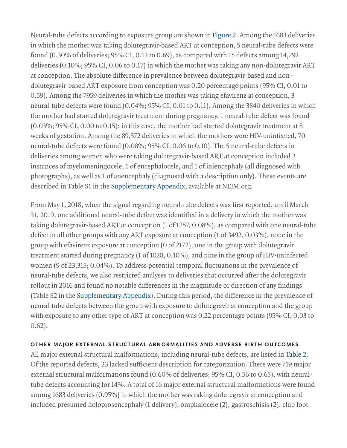Neural-tube defects according to exposure group are shown in Figure 2. Among the 1683 deliveries in which the mother was taking dolutegravir-based ART at conception, 5 neural-tube defects were found (0.30% of deliveries; 95% CI, 0.13 to 0.69), as compared with 15 defects among 14,792 deliveries (0.10%; 95% CI, 0.06 to 0.17) in which the mother was taking any non-dolutegravir ART at conception. The absolute difference in prevalence between dolutegravir-based and non– dolutegravir-based ART exposure from conception was 0.20 percentage points (95% CI, 0.01 to 0.59). Among the 7959 deliveries in which the mother was taking efavirenz at conception, 3 neural-tube defects were found (0.04%; 95% CI, 0.01 to 0.11). Among the 3840 deliveries in which the mother had started dolutegravir treatment during pregnancy, 1 neural-tube defect was found (0.03%; 95% CI, 0.00 to 0.15); in this case, the mother had started dolutegravir treatment at 8 weeks of gestation. Among the 89,372 deliveries in which the mothers were HIV-uninfected, 70 neural-tube defects were found (0.08%; 95% CI, 0.06 to 0.10). The 5 neural-tube defects in deliveries among women who were taking dolutegravir-based ART at conception included 2 instances of myelomeningocele, 1 of encephalocele, and 1 of iniencephaly (all diagnosed with photographs), as well as 1 of anencephaly (diagnosed with a description only). These events are described in Table S1 in the Supplementary Appendix, available at NEJM.org.

From May 1, 2018, when the signal regarding neural-tube defects was first reported, until March 31, 2019, one additional neural-tube defect was identified in a delivery in which the mother was taking dolutegravir-based ART at conception (1 of 1257, 0.08%), as compared with one neural-tube defect in all other groups with any ART exposure at conception (1 of 3492, 0.03%), none in the group with efavirenz exposure at conception (0 of 2172), one in the group with dolutegravir treatment started during pregnancy (1 of 1028, 0.10%), and nine in the group of HIV-uninfected women (9 of 23,315; 0.04%). To address potential temporal fluctuations in the prevalence of neural-tube defects, we also restricted analyses to deliveries that occurred after the dolutegravir rollout in 2016 and found no notable differences in the magnitude or direction of any findings (Table S2 in the Supplementary Appendix). During this period, the difference in the prevalence of neural-tube defects between the group with exposure to dolutegravir at conception and the group with exposure to any other type of ART at conception was 0.22 percentage points (95% CI, 0.03 to 0.62).

#### OTHER MAJOR EXTERNAL STRUCTURAL ABNORMALITIES AND ADVERSE BIRTH OUTCOMES

All major external structural malformations, including neural-tube defects, are listed in Table 2. Of the reported defects, 23 lacked sufficient description for categorization. There were 719 major external structural malformations found (0.60% of deliveries; 95% CI, 0.56 to 0.65), with neuraltube defects accounting for 14%. A total of 16 major external structural malformations were found among 1683 deliveries (0.95%) in which the mother was taking dolutegravir at conception and included presumed holoprosencephaly (1 delivery), omphalocele (2), gastroschisis (2), club foot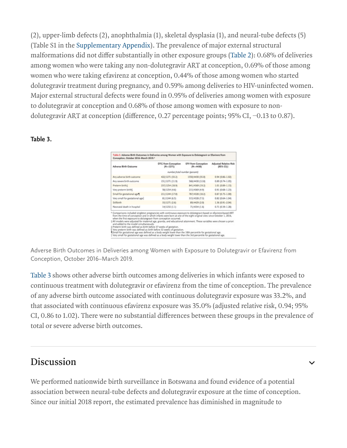(2), upper-limb defects (2), anophthalmia (1), skeletal dysplasia (1), and neural-tube defects (5) (Table S1 in the Supplementary Appendix). The prevalence of major external structural malformations did not differ substantially in other exposure groups (Table 2): 0.68% of deliveries among women who were taking any non-dolutegravir ART at conception, 0.69% of those among women who were taking efavirenz at conception, 0.44% of those among women who started dolutegravir treatment during pregnancy, and 0.59% among deliveries to HIV-uninfected women. Major external structural defects were found in 0.95% of deliveries among women with exposure to dolutegravir at conception and 0.68% of those among women with exposure to nondolutegravir ART at conception (difference, 0.27 percentage points; 95% CI, −0.13 to 0.87).

#### Table 3.

| Adverse Birth Outcome                                                                                                                                                                                                                                                                                                                                                                                                                                                                                                                                                                                                                                                                                                                                                                                                                                            | DTG from Conception<br>$(N-1271)$ | <b>EFV from Conception</b><br>$(N - 4430)$ | <b>Adjusted Relative Risk</b><br>(95% CI)? |
|------------------------------------------------------------------------------------------------------------------------------------------------------------------------------------------------------------------------------------------------------------------------------------------------------------------------------------------------------------------------------------------------------------------------------------------------------------------------------------------------------------------------------------------------------------------------------------------------------------------------------------------------------------------------------------------------------------------------------------------------------------------------------------------------------------------------------------------------------------------|-----------------------------------|--------------------------------------------|--------------------------------------------|
|                                                                                                                                                                                                                                                                                                                                                                                                                                                                                                                                                                                                                                                                                                                                                                                                                                                                  |                                   | number/botal number (percent)              |                                            |
| Any adverse birth outcome                                                                                                                                                                                                                                                                                                                                                                                                                                                                                                                                                                                                                                                                                                                                                                                                                                        | 422/1271 (33.2)                   | 1550/4430 (35.0)                           | 0.94 (0.86-1.02)                           |
| Any severe birth outcome                                                                                                                                                                                                                                                                                                                                                                                                                                                                                                                                                                                                                                                                                                                                                                                                                                         | 151/1271 (11.9)                   | 568/4430 (12.8)                            | $0.89(0.74 - 1.05)$                        |
| Preterm birth:                                                                                                                                                                                                                                                                                                                                                                                                                                                                                                                                                                                                                                                                                                                                                                                                                                                   | 237/1254 (18.9)                   | 841/4369 (19.2)                            | 1.01 (0.89-1.15)                           |
| Very preterm birth)                                                                                                                                                                                                                                                                                                                                                                                                                                                                                                                                                                                                                                                                                                                                                                                                                                              | 58/1254 (4.6)                     | 215/4369 (4.9)                             | 0.91 (0.68-1.23)                           |
| Small for gestational age 1                                                                                                                                                                                                                                                                                                                                                                                                                                                                                                                                                                                                                                                                                                                                                                                                                                      | 211/1244 (17.0)                   | 787/4328 (18.2)                            | 0.87 (0.75-1.00)                           |
| Very small for gestational age)                                                                                                                                                                                                                                                                                                                                                                                                                                                                                                                                                                                                                                                                                                                                                                                                                                  | 81/1244 (6.5)                     | 315/4328 (7.3)                             | 0.82 (0.64-1.04)                           |
| Snillhärth.                                                                                                                                                                                                                                                                                                                                                                                                                                                                                                                                                                                                                                                                                                                                                                                                                                                      | 33/1271 (2.6)                     | 89/4429 (2.0)                              | 1.36 (0.91-2.04)                           |
| Neonatal death in hospital                                                                                                                                                                                                                                                                                                                                                                                                                                                                                                                                                                                                                                                                                                                                                                                                                                       | 14/1232 (1.1)                     | 71/4334 (1.6)                              | 0.71 (0.39-1.28)                           |
| * Comparisons included singleton pregnancies with continuous exposure to dolutegravir-based or efavirenz-based ART<br>from the time of conception and in which infants were born at one of the eight original sites since October 1, 2016,<br>when the first exposure to dolutegravir from conception occurred.<br>+All models were adjusted for maternal age, gravida, and educational attainment. These variables were chosen a priori<br>and added to the model simultaneously.<br>±Preterm birth was defined as birth before 37 weeks of gestation.<br>Very preterm birth was defined as birth before 32 weeks of gestation.<br>Small for gestational age was defined as a body weight lower than the 10th percentile for gestational age.<br>Very small for pestational age was defined as a body weight lower than the 3rd percentile for pestational age. |                                   |                                            |                                            |

Adverse Birth Outcomes in Deliveries among Women with Exposure to Dolutegravir or Efavirenz from Conception, October 2016–March 2019.

Table 3 shows other adverse birth outcomes among deliveries in which infants were exposed to continuous treatment with dolutegravir or efavirenz from the time of conception. The prevalence of any adverse birth outcome associated with continuous dolutegravir exposure was 33.2%, and that associated with continuous efavirenz exposure was 35.0% (adjusted relative risk, 0.94; 95% CI, 0.86 to 1.02). There were no substantial differences between these groups in the prevalence of total or severe adverse birth outcomes.

### Discussion

We performed nationwide birth surveillance in Botswana and found evidence of a potential association between neural-tube defects and dolutegravir exposure at the time of conception. Since our initial 2018 report, the estimated prevalence has diminished in magnitude to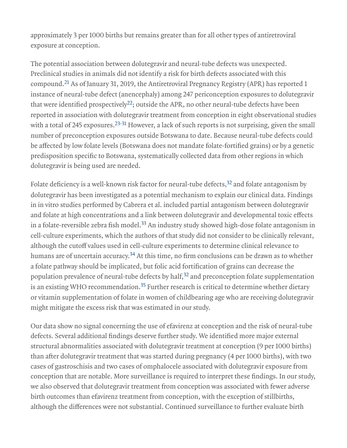approximately 3 per 1000 births but remains greater than for all other types of antiretroviral exposure at conception.

The potential association between dolutegravir and neural-tube defects was unexpected. Preclinical studies in animals did not identify a risk for birth defects associated with this compound. $^{21}$  As of January 31, 2019, the Antiretroviral Pregnancy Registry (APR) has reported 1 instance of neural-tube defect (anencephaly) among 247 periconception exposures to dolutegravir that were identified prospectively $^{22}$ ; outside the APR, no other neural-tube defects have been reported in association with dolutegravir treatment from conception in eight observational studies with a total of 245 exposures. $^{23\text{-}31}$  However, a lack of such reports is not surprising, given the small number of preconception exposures outside Botswana to date. Because neural-tube defects could be affected by low folate levels (Botswana does not mandate folate-fortified grains) or by a genetic predisposition specific to Botswana, systematically collected data from other regions in which dolutegravir is being used are needed.

Folate deficiency is a well-known risk factor for neural-tube defects, $32$  and folate antagonism by dolutegravir has been investigated as a potential mechanism to explain our clinical data. Findings in in vitro studies performed by Cabrera et al. included partial antagonism between dolutegravir and folate at high concentrations and a link between dolutegravir and developmental toxic effects in a folate-reversible zebra fish model. $^{33}$  An industry study showed high-dose folate antagonism in cell-culture experiments, which the authors of that study did not consider to be clinically relevant, although the cutoff values used in cell-culture experiments to determine clinical relevance to humans are of uncertain accuracy. $^{34}$  At this time, no firm conclusions can be drawn as to whether a folate pathway should be implicated, but folic acid fortification of grains can decrease the population prevalence of neural-tube defects by half, $32$  and preconception folate supplementation is an existing WHO recommendation. $^{35}$  Further research is critical to determine whether dietary or vitamin supplementation of folate in women of childbearing age who are receiving dolutegravir might mitigate the excess risk that was estimated in our study.

Our data show no signal concerning the use of efavirenz at conception and the risk of neural-tube defects. Several additional findings deserve further study. We identified more major external structural abnormalities associated with dolutegravir treatment at conception (9 per 1000 births) than after dolutegravir treatment that was started during pregnancy (4 per 1000 births), with two cases of gastroschisis and two cases of omphalocele associated with dolutegravir exposure from conception that are notable. More surveillance is required to interpret these findings. In our study, we also observed that dolutegravir treatment from conception was associated with fewer adverse birth outcomes than efavirenz treatment from conception, with the exception of stillbirths, although the differences were not substantial. Continued surveillance to further evaluate birth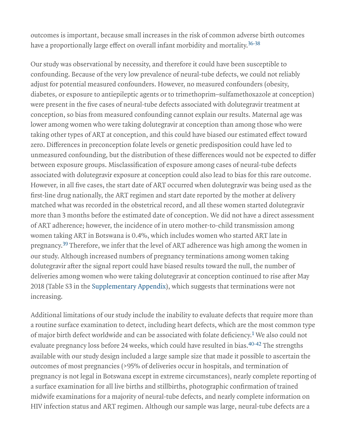outcomes is important, because small increases in the risk of common adverse birth outcomes have a proportionally large effect on overall infant morbidity and mortality. 36-38

Our study was observational by necessity, and therefore it could have been susceptible to confounding. Because of the very low prevalence of neural-tube defects, we could not reliably adjust for potential measured confounders. However, no measured confounders (obesity, diabetes, or exposure to antiepileptic agents or to trimethoprim–sulfamethoxazole at conception) were present in the five cases of neural-tube defects associated with dolutegravir treatment at conception, so bias from measured confounding cannot explain our results. Maternal age was lower among women who were taking dolutegravir at conception than among those who were taking other types of ART at conception, and this could have biased our estimated effect toward zero. Differences in preconception folate levels or genetic predisposition could have led to unmeasured confounding, but the distribution of these differences would not be expected to differ between exposure groups. Misclassification of exposure among cases of neural-tube defects associated with dolutegravir exposure at conception could also lead to bias for this rare outcome. However, in all five cases, the start date of ART occurred when dolutegravir was being used as the first-line drug nationally, the ART regimen and start date reported by the mother at delivery matched what was recorded in the obstetrical record, and all these women started dolutegravir more than 3 months before the estimated date of conception. We did not have a direct assessment of ART adherence; however, the incidence of in utero mother-to-child transmission among women taking ART in Botswana is 0.4%, which includes women who started ART late in pregnancy.<sup>39</sup> Therefore, we infer that the level of ART adherence was high among the women in our study. Although increased numbers of pregnancy terminations among women taking dolutegravir after the signal report could have biased results toward the null, the number of deliveries among women who were taking dolutegravir at conception continued to rise after May 2018 (Table S3 in the Supplementary Appendix), which suggests that terminations were not increasing.

Additional limitations of our study include the inability to evaluate defects that require more than a routine surface examination to detect, including heart defects, which are the most common type of major birth defect worldwide and can be associated with folate deficiency.<sup>1</sup> We also could not evaluate pregnancy loss before 24 weeks, which could have resulted in bias.<sup>40-42</sup> The strengths available with our study design included a large sample size that made it possible to ascertain the outcomes of most pregnancies (>95% of deliveries occur in hospitals, and termination of pregnancy is not legal in Botswana except in extreme circumstances), nearly complete reporting of a surface examination for all live births and stillbirths, photographic confirmation of trained midwife examinations for a majority of neural-tube defects, and nearly complete information on HIV infection status and ART regimen. Although our sample was large, neural-tube defects are a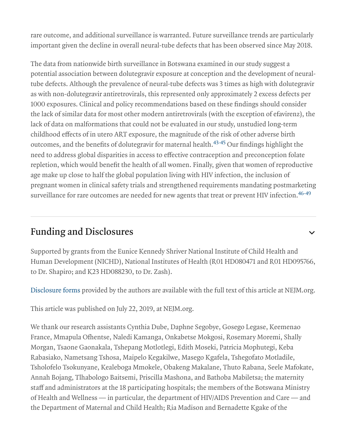rare outcome, and additional surveillance is warranted. Future surveillance trends are particularly important given the decline in overall neural-tube defects that has been observed since May 2018.

The data from nationwide birth surveillance in Botswana examined in our study suggest a potential association between dolutegravir exposure at conception and the development of neuraltube defects. Although the prevalence of neural-tube defects was 3 times as high with dolutegravir as with non-dolutegravir antiretrovirals, this represented only approximately 2 excess defects per 1000 exposures. Clinical and policy recommendations based on these findings should consider the lack of similar data for most other modern antiretrovirals (with the exception of efavirenz), the lack of data on malformations that could not be evaluated in our study, unstudied long-term childhood effects of in utero ART exposure, the magnitude of the risk of other adverse birth outcomes, and the benefits of dolutegravir for maternal health.<sup>43-45</sup> Our findings highlight the need to address global disparities in access to effective contraception and preconception folate repletion, which would benefit the health of all women. Finally, given that women of reproductive age make up close to half the global population living with HIV infection, the inclusion of pregnant women in clinical safety trials and strengthened requirements mandating postmarketing surveillance for rare outcomes are needed for new agents that treat or prevent HIV infection. 46-49

### Funding and Disclosures

Supported by grants from the Eunice Kennedy Shriver National Institute of Child Health and Human Development (NICHD), National Institutes of Health (R01 HD080471 and R01 HD095766, to Dr. Shapiro; and K23 HD088230, to Dr. Zash).

 $\checkmark$ 

Disclosure forms provided by the authors are available with the full text of this article at NEJM.org.

This article was published on July 22, 2019, at NEJM.org.

We thank our research assistants Cynthia Dube, Daphne Segobye, Gosego Legase, Keemenao France, Mmapula Ofhentse, Naledi Kamanga, Onkabetse Mokgosi, Rosemary Moremi, Shally Morgan, Tsaone Gaonakala, Tshepang Motlotlegi, Edith Moseki, Patricia Mophutegi, Keba Rabasiako, Nametsang Tshosa, Maipelo Kegakilwe, Masego Kgafela, Tshegofato Motladile, Tsholofelo Tsokunyane, Kealeboga Mmokele, Obakeng Makalane, Thuto Rabana, Seele Mafokate, Annah Bojang, Tlhabologo Baitsemi, Priscilla Mashona, and Bathoba Mabiletsa; the maternity staff and administrators at the 18 participating hospitals; the members of the Botswana Ministry of Health and Wellness — in particular, the department of HIV/AIDS Prevention and Care — and the Department of Maternal and Child Health; Ria Madison and Bernadette Kgake of the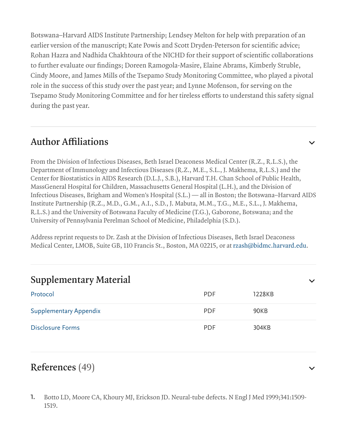Botswana–Harvard AIDS Institute Partnership; Lendsey Melton for help with preparation of an earlier version of the manuscript; Kate Powis and Scott Dryden-Peterson for scientific advice; Rohan Hazra and Nadhida Chakhtoura of the NICHD for their support of scientific collaborations to further evaluate our findings; Doreen Ramogola-Masire, Elaine Abrams, Kimberly Struble, Cindy Moore, and James Mills of the Tsepamo Study Monitoring Committee, who played a pivotal role in the success of this study over the past year; and Lynne Mofenson, for serving on the Tsepamo Study Monitoring Committee and for her tireless efforts to understand this safety signal during the past year.

### Author Affiliations

From the Division of Infectious Diseases, Beth Israel Deaconess Medical Center (R.Z., R.L.S.), the Department of Immunology and Infectious Diseases (R.Z., M.E., S.L., J. Makhema, R.L.S.) and the Center for Biostatistics in AIDS Research (D.L.J., S.B.), Harvard T.H. Chan School of Public Health, MassGeneral Hospital for Children, Massachusetts General Hospital (L.H.), and the Division of Infectious Diseases, Brigham and Women's Hospital (S.L.) — all in Boston; the Botswana–Harvard AIDS Institute Partnership (R.Z., M.D., G.M., A.I., S.D., J. Mabuta, M.M., T.G., M.E., S.L., J. Makhema, R.L.S.) and the University of Botswana Faculty of Medicine (T.G.), Gaborone, Botswana; and the University of Pennsylvania Perelman School of Medicine, Philadelphia (S.D.).

Address reprint requests to Dr. Zash at the Division of Infectious Diseases, Beth Israel Deaconess Medical Center, LMOB, Suite GB, 110 Francis St., Boston, MA 02215, or at rzash@bidmc.harvard.edu.

| <b>Supplementary Material</b> |            |        | $\checkmark$ |
|-------------------------------|------------|--------|--------------|
| Protocol                      | <b>PDF</b> | 1228KB |              |
| <b>Supplementary Appendix</b> | <b>PDF</b> | 90KB   |              |
| <b>Disclosure Forms</b>       | <b>PDF</b> | 304KB  |              |

### References (49)

Botto LD, Moore CA, Khoury MJ, Erickson JD. Neural-tube defects. N Engl J Med 1999;341:1509- 1519. 1.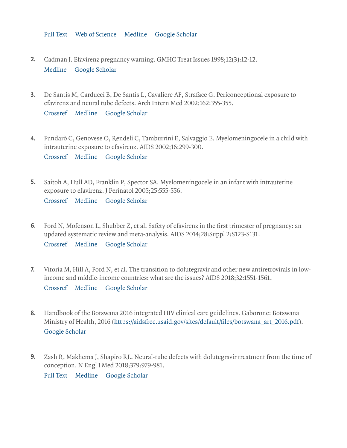Full Text Web of Science Medline Google Scholar

- 2. Cadman J. Efavirenz pregnancy warning. GMHC Treat Issues 1998;12(3):12-12. Medline Google Scholar
- De Santis M, Carducci B, De Santis L, Cavaliere AF, Straface G. Periconceptional exposure to 3. efavirenz and neural tube defects. Arch Intern Med 2002;162:355-355.

Crossref Medline Google Scholar

- Fundarò C, Genovese O, Rendeli C, Tamburrini E, Salvaggio E. Myelomeningocele in a child with 4. intrauterine exposure to efavirenz. AIDS 2002;16:299-300. Crossref Medline Google Scholar
- **5.** Saitoh A, Hull AD, Franklin P, Spector SA. Myelomeningocele in an infant with intrauterine exposure to efavirenz. J Perinatol 2005;25:555-556.

Crossref Medline Google Scholar

- Ford N, Mofenson L, Shubber Z, et al. Safety of efavirenz in the first trimester of pregnancy: an updated systematic review and meta-analysis. AIDS 2014;28:Suppl 2:S123-S131. Crossref Medline Google Scholar 6.
- Vitoria M, Hill A, Ford N, et al. The transition to dolutegravir and other new antiretrovirals in lowincome and middle-income countries: what are the issues? AIDS 2018;32:1551-1561. Crossref Medline Google Scholar 7.
- Handbook of the Botswana 2016 integrated HIV clinical care guidelines. Gaborone: Botswana 8. Ministry of Health, 2016 (https://aidsfree.usaid.gov/sites/default/files/botswana\_art\_2016.pdf). Google Scholar
- **9.** Zash R, Makhema J, Shapiro RL. Neural-tube defects with dolutegravir treatment from the time of conception. N Engl J Med 2018;379:979-981. Full Text Medline Google Scholar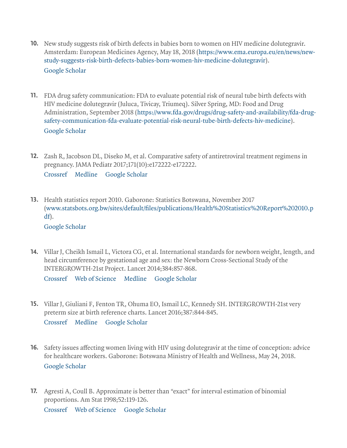- **10.** New study suggests risk of birth defects in babies born to women on HIV medicine dolutegravir. Amsterdam: European Medicines Agency, May 18, 2018 (https://www.ema.europa.eu/en/news/newstudy-suggests-risk-birth-defects-babies-born-women-hiv-medicine-dolutegravir). Google Scholar
- FDA drug safety communication: FDA to evaluate potential risk of neural tube birth defects with 11. HIV medicine dolutegravir (Juluca, Tivicay, Triumeq). Silver Spring, MD: Food and Drug Administration, September 2018 (https://www.fda.gov/drugs/drug-safety-and-availability/fda-drugsafety-communication-fda-evaluate-potential-risk-neural-tube-birth-defects-hiv-medicine). Google Scholar
- **12.** Zash R, Jacobson DL, Diseko M, et al. Comparative safety of antiretroviral treatment regimens in pregnancy. JAMA Pediatr 2017;171(10):e172222-e172222. Crossref Medline Google Scholar
- **13.** Health statistics report 2010. Gaborone: Statistics Botswana, November 2017 (www.statsbots.org.bw/sites/default/files/publications/Health%20Statistics%20Report%202010.p df).

#### Google Scholar

14. Villar J, Cheikh Ismail L, Victora CG, et al. International standards for newborn weight, length, and head circumference by gestational age and sex: the Newborn Cross-Sectional Study of the INTERGROWTH-21st Project. Lancet 2014;384:857-868.

Crossref Web of Science Medline Google Scholar

**15.** Villar J, Giuliani F, Fenton TR, Ohuma EO, Ismail LC, Kennedy SH. INTERGROWTH-21st very preterm size at birth reference charts. Lancet 2016;387:844-845.

Crossref Medline Google Scholar

- **16.** Safety issues affecting women living with HIV using dolutegravir at the time of conception: advice for healthcare workers. Gaborone: Botswana Ministry of Health and Wellness, May 24, 2018. Google Scholar
- **17.** Agresti A, Coull B. Approximate is better than "exact" for interval estimation of binomial proportions. Am Stat 1998;52:119-126.

Crossref Web of Science Google Scholar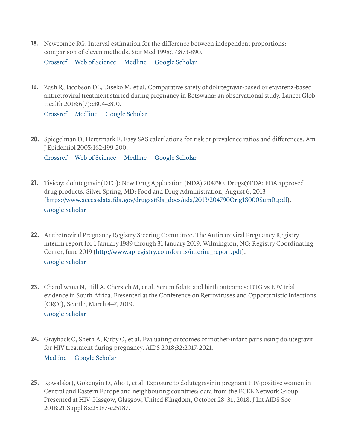- **18.** Newcombe RG. Interval estimation for the difference between independent proportions: comparison of eleven methods. Stat Med 1998;17:873-890. Crossref Web of Science Medline Google Scholar
- 19. Zash R, Jacobson DL, Diseko M, et al. Comparative safety of dolutegravir-based or efavirenz-based antiretroviral treatment started during pregnancy in Botswana: an observational study. Lancet Glob Health 2018;6(7):e804-e810.

Crossref Medline Google Scholar

20. Spiegelman D, Hertzmark E. Easy SAS calculations for risk or prevalence ratios and differences. Am J Epidemiol 2005;162:199-200.

Crossref Web of Science Medline Google Scholar

- 21. Tivicay: dolutegravir (DTG): New Drug Application (NDA) 204790. Drugs@FDA: FDA approved drug products. Silver Spring, MD: Food and Drug Administration, August 6, 2013 (https://www.accessdata.fda.gov/drugsatfda\_docs/nda/2013/204790Orig1S000SumR.pdf). Google Scholar
- 22. Antiretroviral Pregnancy Registry Steering Committee. The Antiretroviral Pregnancy Registry interim report for 1 January 1989 through 31 January 2019. Wilmington, NC: Registry Coordinating Center, June 2019 (http://www.apregistry.com/forms/interim\_report.pdf). Google Scholar
- 23. Chandiwana N, Hill A, Chersich M, et al. Serum folate and birth outcomes: DTG vs EFV trial evidence in South Africa. Presented at the Conference on Retroviruses and Opportunistic Infections (CROI), Seattle, March 4–7, 2019. Google Scholar
- 24. Grayhack C, Sheth A, Kirby O, et al. Evaluating outcomes of mother-infant pairs using dolutegravir for HIV treatment during pregnancy. AIDS 2018;32:2017-2021. Medline Google Scholar
- **25.** Kowalska J, Gökengin D, Aho I, et al. Exposure to dolutegravir in pregnant HIV-positive women in Central and Eastern Europe and neighbouring countries: data from the ECEE Network Group. Presented at HIV Glasgow, Glasgow, United Kingdom, October 28–31, 2018. J Int AIDS Soc 2018;21:Suppl 8:e25187-e25187.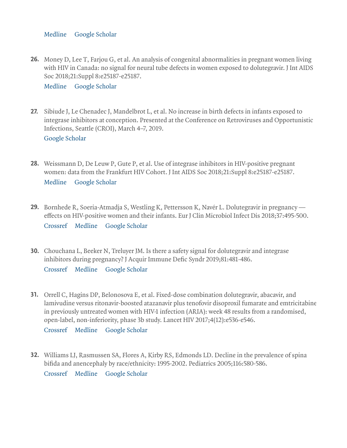Medline Google Scholar

**26.** Money D, Lee T, Farjou G, et al. An analysis of congenital abnormalities in pregnant women living with HIV in Canada: no signal for neural tube defects in women exposed to dolutegravir. J Int AIDS Soc 2018;21:Suppl 8:e25187-e25187.

Medline Google Scholar

- **27.** Sibiude J, Le Chenadec J, Mandelbrot L, et al. No increase in birth defects in infants exposed to integrase inhibitors at conception. Presented at the Conference on Retroviruses and Opportunistic Infections, Seattle (CROI), March 4–7, 2019. Google Scholar
- **28.** Weissmann D, De Leuw P, Gute P, et al. Use of integrase inhibitors in HIV-positive pregnant women: data from the Frankfurt HIV Cohort. J Int AIDS Soc 2018;21:Suppl 8:e25187-e25187. Medline Google Scholar
- **29.** Bornhede R, Soeria-Atmadja S, Westling K, Pettersson K, Navér L. Dolutegravir in pregnancy effects on HIV-positive women and their infants. Eur J Clin Microbiol Infect Dis 2018;37:495-500. Crossref Medline Google Scholar
- **30.** Chouchana L, Beeker N, Treluyer JM. Is there a safety signal for dolutegravir and integrase inhibitors during pregnancy? J Acquir Immune Defic Syndr 2019;81:481-486. Crossref Medline Google Scholar
- 31. Orrell C, Hagins DP, Belonosova E, et al. Fixed-dose combination dolutegravir, abacavir, and lamivudine versus ritonavir-boosted atazanavir plus tenofovir disoproxil fumarate and emtricitabine in previously untreated women with HIV-1 infection (ARIA): week 48 results from a randomised, open-label, non-inferiority, phase 3b study. Lancet HIV 2017;4(12):e536-e546.

Crossref Medline Google Scholar

32. Williams LJ, Rasmussen SA, Flores A, Kirby RS, Edmonds LD. Decline in the prevalence of spina bifida and anencephaly by race/ethnicity: 1995-2002. Pediatrics 2005;116:580-586. Crossref Medline Google Scholar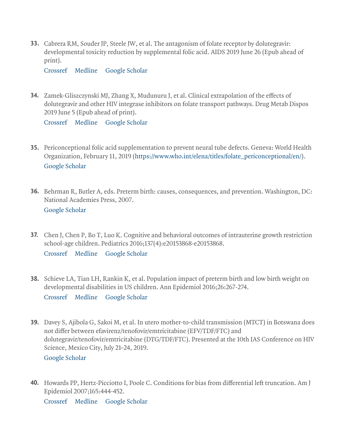**33.** Cabrera RM, Souder JP, Steele JW, et al. The antagonism of folate receptor by dolutegravir: developmental toxicity reduction by supplemental folic acid. AIDS 2019 June 26 (Epub ahead of print).

Crossref Medline Google Scholar

**34.** Zamek-Gliszczynski MJ, Zhang X, Mudunuru J, et al. Clinical extrapolation of the effects of dolutegravir and other HIV integrase inhibitors on folate transport pathways. Drug Metab Dispos 2019 June 5 (Epub ahead of print).

Crossref Medline Google Scholar

- **35.** Periconceptional folic acid supplementation to prevent neural tube defects. Geneva: World Health Organization, February 11, 2019 (https://www.who.int/elena/titles/folate\_periconceptional/en/). Google Scholar
- **36.** Behrman R, Butler A, eds. Preterm birth: causes, consequences, and prevention. Washington, DC: National Academies Press, 2007. Google Scholar
- **37.** Chen J, Chen P, Bo T, Luo K. Cognitive and behavioral outcomes of intrauterine growth restriction school-age children. Pediatrics 2016;137(4):e20153868-e20153868.

Crossref Medline Google Scholar

- **38.** Schieve LA, Tian LH, Rankin K, et al. Population impact of preterm birth and low birth weight on developmental disabilities in US children. Ann Epidemiol 2016;26:267-274. Crossref Medline Google Scholar
- Davey S, Ajibola G, Sakoi M, et al. In utero mother-to-child transmission (MTCT) in Botswana does 39. not differ between efavirenz/tenofovir/emtricitabine (EFV/TDF/FTC) and dolutegravir/tenofovir/emtricitabine (DTG/TDF/FTC). Presented at the 10th IAS Conference on HIV Science, Mexico City, July 21–24, 2019. Google Scholar
- **40.** Howards PP, Hertz-Picciotto I, Poole C. Conditions for bias from differential left truncation. Am J Epidemiol 2007;165:444-452.

Crossref Medline Google Scholar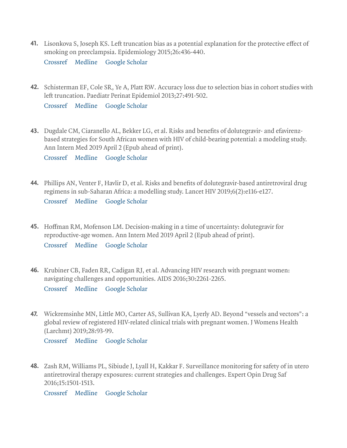- 41. Lisonkova S, Joseph KS. Left truncation bias as a potential explanation for the protective effect of smoking on preeclampsia. Epidemiology 2015;26:436-440. Crossref Medline Google Scholar
- 42. Schisterman EF, Cole SR, Ye A, Platt RW. Accuracy loss due to selection bias in cohort studies with left truncation. Paediatr Perinat Epidemiol 2013;27:491-502. Crossref Medline Google Scholar
- Dugdale CM, Ciaranello AL, Bekker LG, et al. Risks and benefits of dolutegravir- and efavirenz-43. based strategies for South African women with HIV of child-bearing potential: a modeling study. Ann Intern Med 2019 April 2 (Epub ahead of print).

Crossref Medline Google Scholar

44. Phillips AN, Venter F, Havlir D, et al. Risks and benefits of dolutegravir-based antiretroviral drug regimens in sub-Saharan Africa: a modelling study. Lancet HIV 2019;6(2):e116-e127.

Crossref Medline Google Scholar

- **45.** Hoffman RM, Mofenson LM. Decision-making in a time of uncertainty: dolutegravir for reproductive-age women. Ann Intern Med 2019 April 2 (Epub ahead of print). Crossref Medline Google Scholar
- 46. Krubiner CB, Faden RR, Cadigan RJ, et al. Advancing HIV research with pregnant women: navigating challenges and opportunities. AIDS 2016;30:2261-2265.

Crossref Medline Google Scholar

47. Wickremsinhe MN, Little MO, Carter AS, Sullivan KA, Lyerly AD. Beyond "vessels and vectors": a global review of registered HIV-related clinical trials with pregnant women. J Womens Health (Larchmt) 2019;28:93-99.

Crossref Medline Google Scholar

**48.** Zash RM, Williams PL, Sibiude J, Lyall H, Kakkar F. Surveillance monitoring for safety of in utero antiretroviral therapy exposures: current strategies and challenges. Expert Opin Drug Saf 2016;15:1501-1513.

Crossref Medline Google Scholar